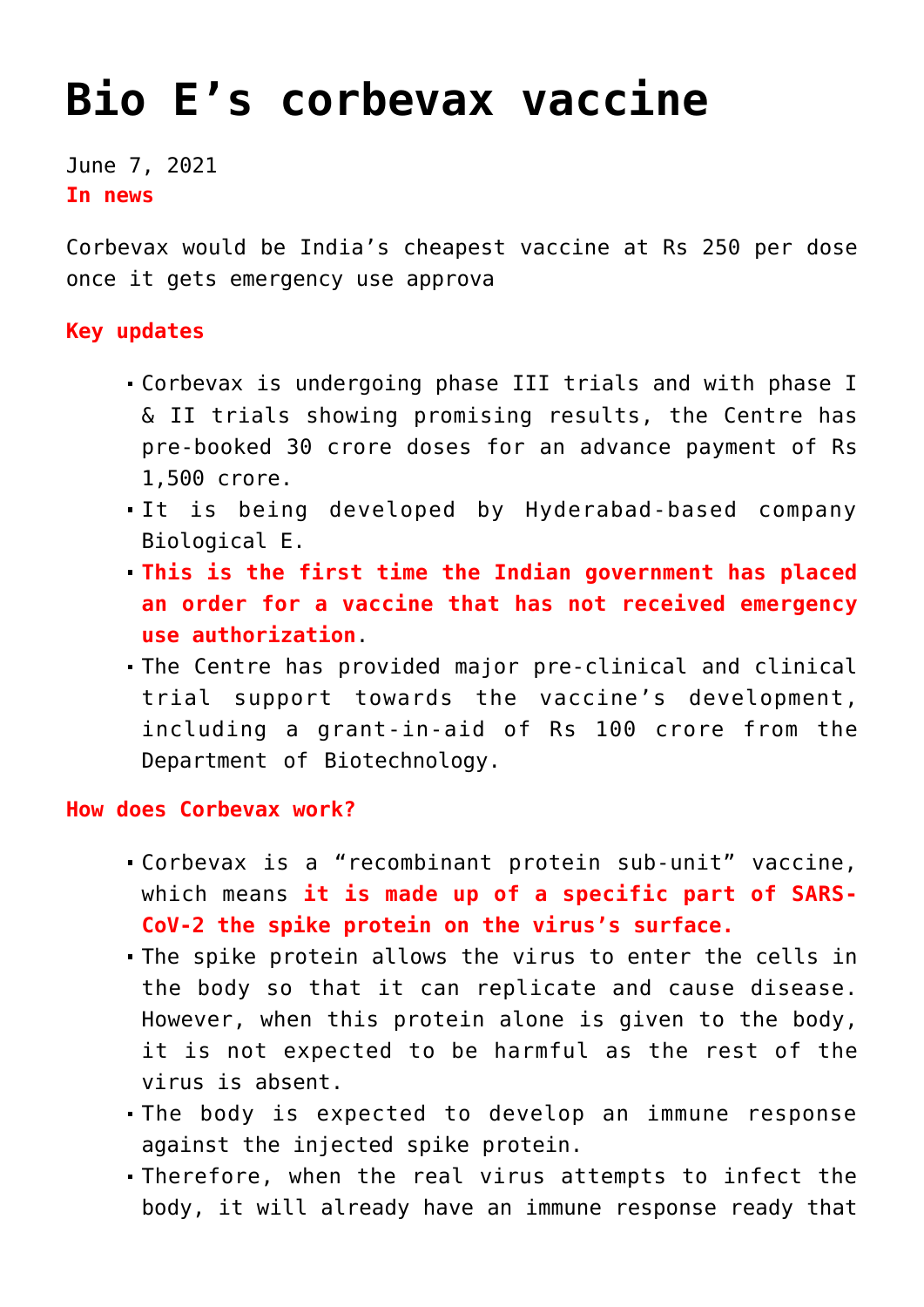# **[Bio E's corbevax vaccine](https://journalsofindia.com/bio-es-corbevax-vaccine/)**

June 7, 2021 **In news**

Corbevax would be India's cheapest vaccine at Rs 250 per dose once it gets emergency use approva

## **Key updates**

- Corbevax is undergoing phase III trials and with phase I & II trials showing promising results, the Centre has pre-booked 30 crore doses for an advance payment of Rs 1,500 crore.
- It is being developed by Hyderabad-based company Biological E.
- **This is the first time the Indian government has placed an order for a vaccine that has not received emergency use authorization**.
- The Centre has provided major pre-clinical and clinical trial support towards the vaccine's development, including a grant-in-aid of Rs 100 crore from the Department of Biotechnology.

## **How does Corbevax work?**

- Corbevax is a "recombinant protein sub-unit" vaccine, which means **it is made up of a specific part of SARS-CoV-2 the spike protein on the virus's surface.**
- The spike protein allows the virus to enter the cells in the body so that it can replicate and cause disease. However, when this protein alone is given to the body, it is not expected to be harmful as the rest of the virus is absent.
- The body is expected to develop an immune response against the injected spike protein.
- Therefore, when the real virus attempts to infect the body, it will already have an immune response ready that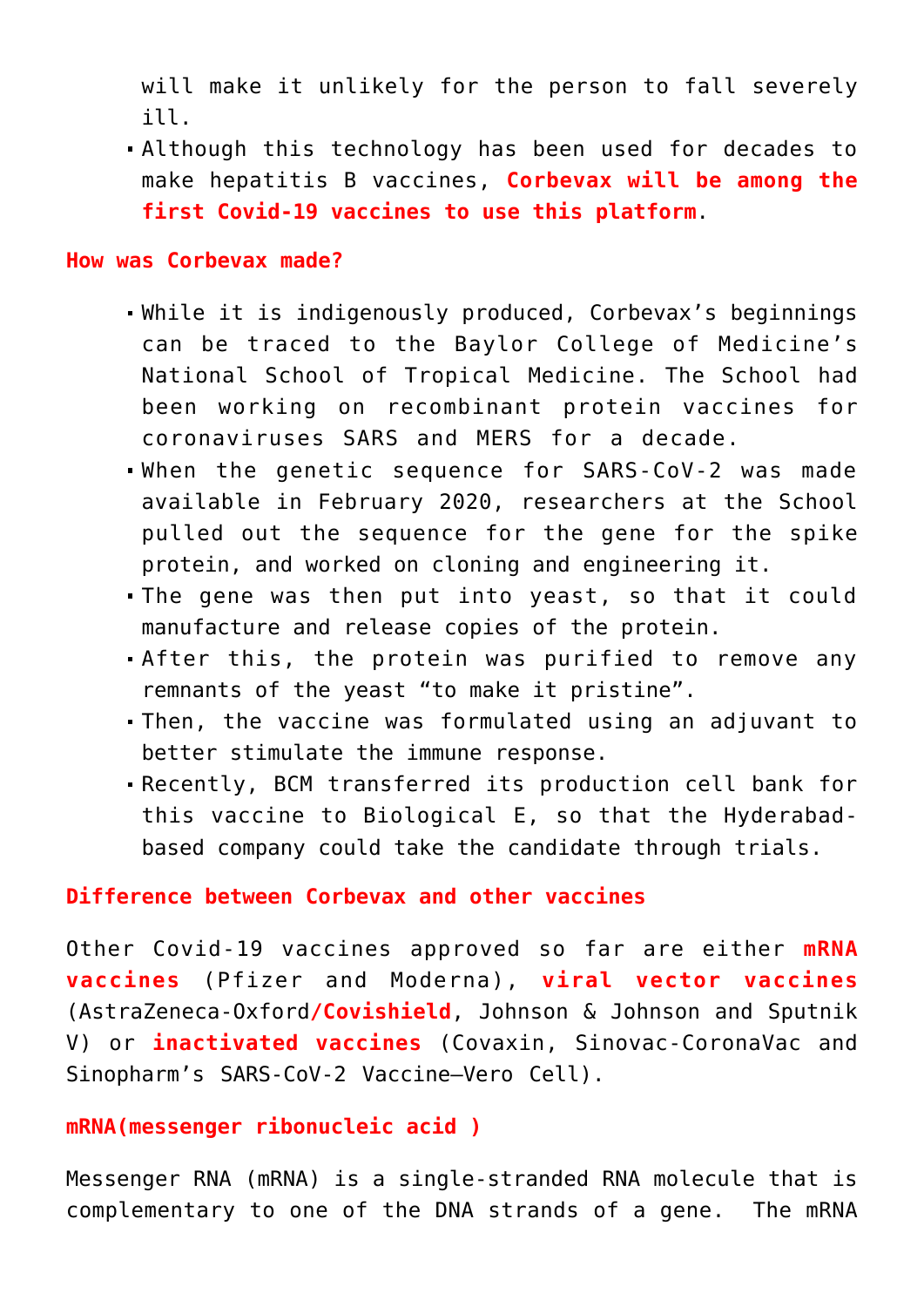will make it unlikely for the person to fall severely ill.

Although this technology has been used for decades to make hepatitis B vaccines, **Corbevax will be among the first Covid-19 vaccines to use this platform**.

#### **How was Corbevax made?**

- While it is indigenously produced, Corbevax's beginnings can be traced to the Baylor College of Medicine's National School of Tropical Medicine. The School had been working on recombinant protein vaccines for coronaviruses SARS and MERS for a decade.
- When the genetic sequence for SARS-CoV-2 was made available in February 2020, researchers at the School pulled out the sequence for the gene for the spike protein, and worked on cloning and engineering it.
- The gene was then put into yeast, so that it could manufacture and release copies of the protein.
- After this, the protein was purified to remove any remnants of the yeast "to make it pristine".
- Then, the vaccine was formulated using an adjuvant to better stimulate the immune response.
- Recently, BCM transferred its production cell bank for this vaccine to Biological E, so that the Hyderabadbased company could take the candidate through trials.

### **Difference between Corbevax and other vaccines**

Other Covid-19 vaccines approved so far are either **mRNA vaccines** (Pfizer and Moderna), **viral vector vaccines** (AstraZeneca-Oxford**/Covishield**, Johnson & Johnson and Sputnik V) or **inactivated vaccines** (Covaxin, Sinovac-CoronaVac and Sinopharm's SARS-CoV-2 Vaccine–Vero Cell).

#### **mRNA(messenger ribonucleic acid )**

Messenger RNA (mRNA) is a single-stranded RNA molecule that is complementary to one of the DNA strands of a gene. The mRNA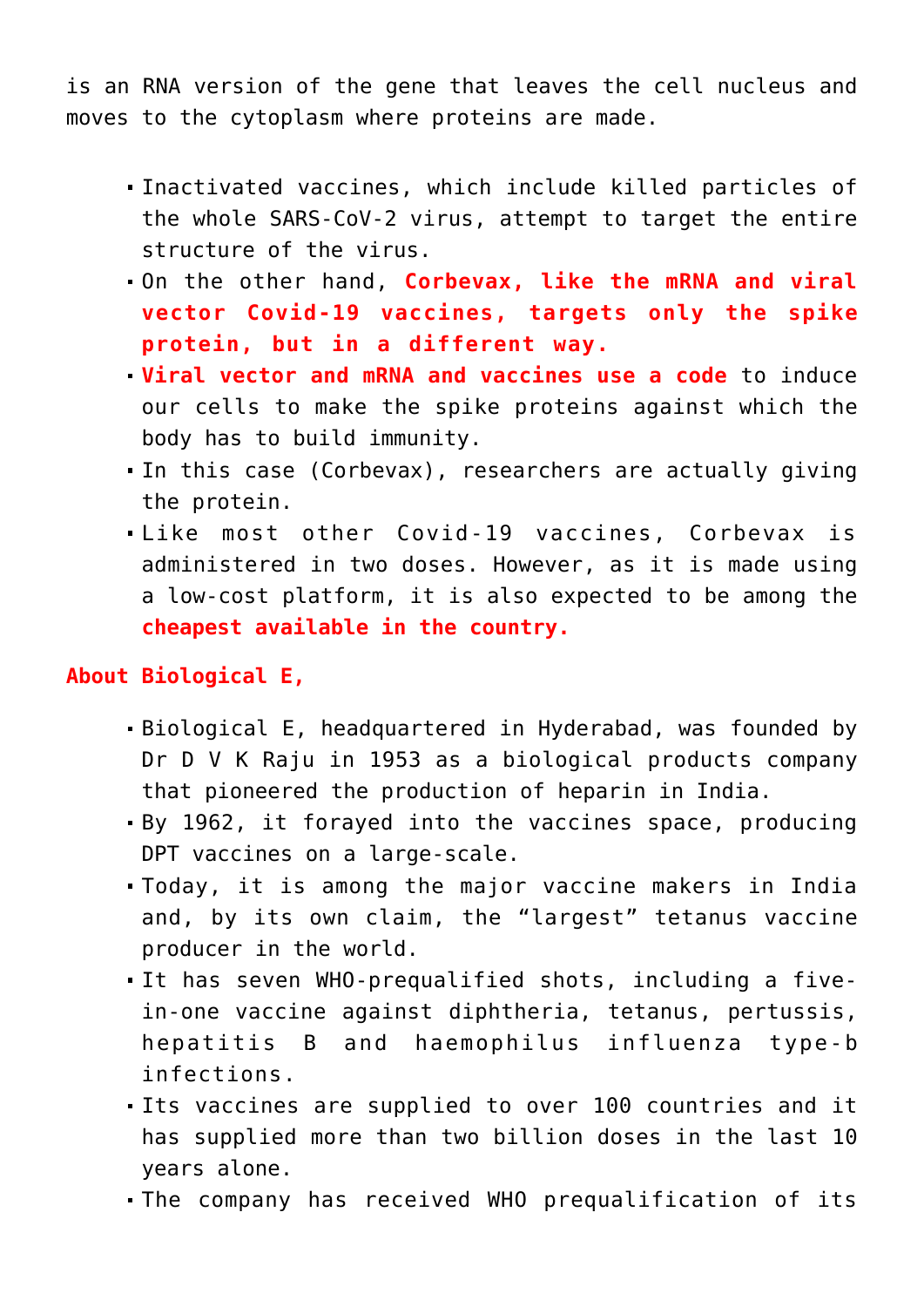is an RNA version of the gene that leaves the cell nucleus and moves to the cytoplasm where proteins are made.

- Inactivated vaccines, which include killed particles of the whole SARS-CoV-2 virus, attempt to target the entire structure of the virus.
- On the other hand, **Corbevax, like the mRNA and viral vector Covid-19 vaccines, targets only the spike protein, but in a different way.**
- **Viral vector and mRNA and vaccines use a code** to induce our cells to make the spike proteins against which the body has to build immunity.
- In this case (Corbevax), researchers are actually giving the protein.
- Like most other Covid-19 vaccines, Corbevax is administered in two doses. However, as it is made using a low-cost platform, it is also expected to be among the **cheapest available in the country.**

## **About Biological E,**

- Biological E, headquartered in Hyderabad, was founded by Dr D V K Raju in 1953 as a biological products company that pioneered the production of heparin in India.
- By 1962, it forayed into the vaccines space, producing DPT vaccines on a large-scale.
- Today, it is among the major vaccine makers in India and, by its own claim, the "largest" tetanus vaccine producer in the world.
- It has seven WHO-prequalified shots, including a fivein-one vaccine against diphtheria, tetanus, pertussis, hepatitis B and haemophilus influenza type-b infections.
- Its vaccines are supplied to over 100 countries and it has supplied more than two billion doses in the last 10 years alone.
- The company has received WHO prequalification of its